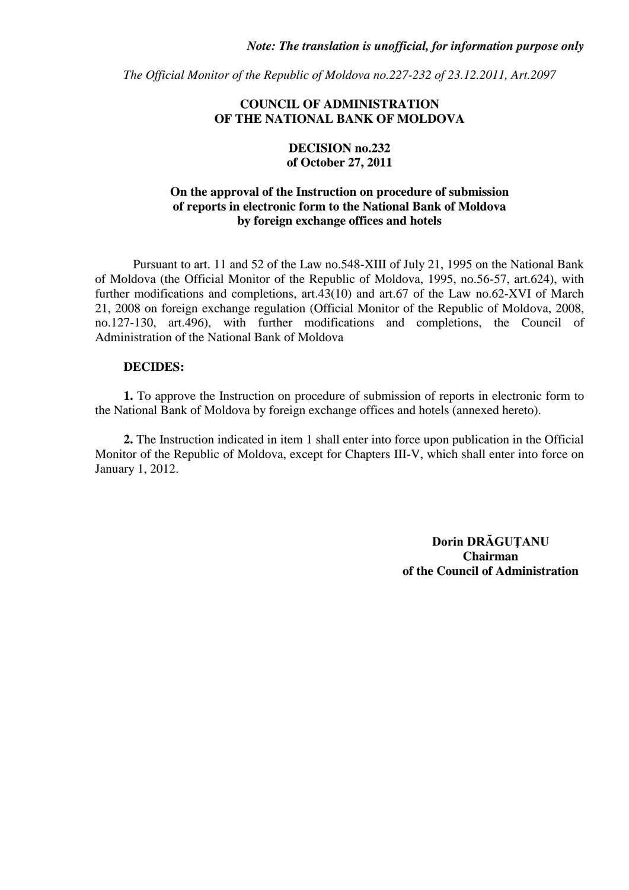*The Official Monitor of the Republic of Moldova no.227-232 of 23.12.2011, Art.2097*

## **COUNCIL OF ADMINISTRATION OF THE NATIONAL BANK OF MOLDOVA**

## **DECISION no.232 of October 27, 2011**

# **On the approval of the Instruction on procedure of submission of reports in electronic form to the National Bank of Moldova by foreign exchange offices and hotels**

Pursuant to art. 11 and 52 of the Law no.548-XIII of July 21, 1995 on the National Bank of Moldova (the Official Monitor of the Republic of Moldova, 1995, no.56-57, art.624), with further modifications and completions, art.43(10) and art.67 of the Law no.62-XVI of March 21, 2008 on foreign exchange regulation (Official Monitor of the Republic of Moldova, 2008, no.127-130, art.496), with further modifications and completions, the Council of Administration of the National Bank of Moldova

## **DECIDES:**

**1.** To approve the Instruction on procedure of submission of reports in electronic form to the National Bank of Moldova by foreign exchange offices and hotels (annexed hereto).

**2.** The Instruction indicated in item 1 shall enter into force upon publication in the Official Monitor of the Republic of Moldova, except for Chapters III-V, which shall enter into force on January 1, 2012.

> **Dorin DRĂGUŢANU Chairman of the Council of Administration**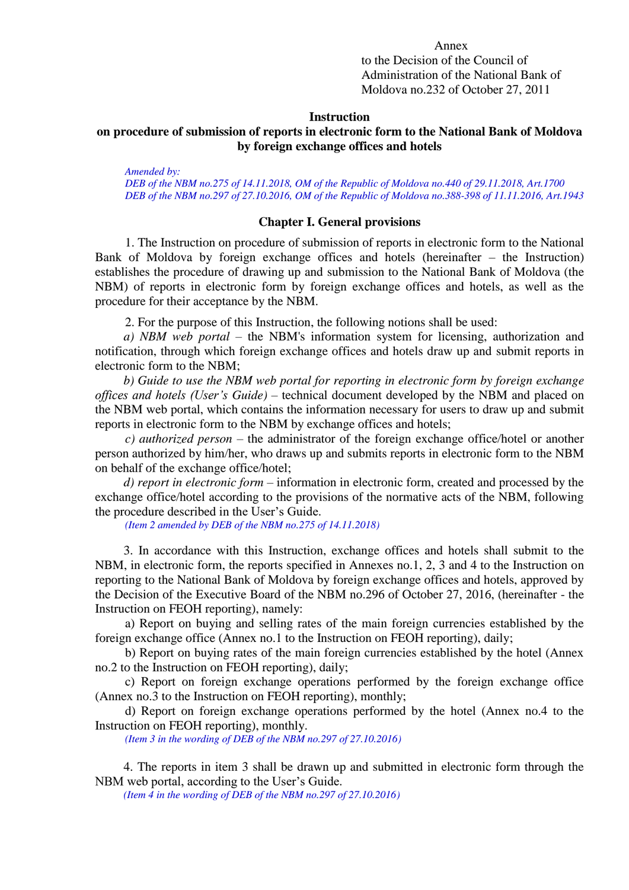Annex

to the Decision of the Council of Administration of the National Bank of Moldova no.232 of October 27, 2011

### **Instruction**

## **on procedure of submission of reports in electronic form to the National Bank of Moldova by foreign exchange offices and hotels**

*Amended by:*

*DEB of the NBM no.275 of 14.11.2018, OM of the Republic of Moldova no.440 of 29.11.2018, Art.1700 DEB of the NBM no.297 of 27.10.2016, OM of the Republic of Moldova no.388-398 of 11.11.2016, Art.1943*

#### **Chapter I. General provisions**

1. The Instruction on procedure of submission of reports in electronic form to the National Bank of Moldova by foreign exchange offices and hotels (hereinafter – the Instruction) establishes the procedure of drawing up and submission to the National Bank of Moldova (the NBM) of reports in electronic form by foreign exchange offices and hotels, as well as the procedure for their acceptance by the NBM.

2. For the purpose of this Instruction, the following notions shall be used:

*a) NBM web portal –* the NBM's information system for licensing, authorization and notification, through which foreign exchange offices and hotels draw up and submit reports in electronic form to the NBM;

*b) Guide to use the NBM web portal for reporting in electronic form by foreign exchange offices and hotels (User's Guide)* – technical document developed by the NBM and placed on the NBM web portal, which contains the information necessary for users to draw up and submit reports in electronic form to the NBM by exchange offices and hotels;

*c) authorized person –* the administrator of the foreign exchange office/hotel or another person authorized by him/her, who draws up and submits reports in electronic form to the NBM on behalf of the exchange office/hotel;

*d) report in electronic form* – information in electronic form, created and processed by the exchange office/hotel according to the provisions of the normative acts of the NBM, following the procedure described in the User's Guide.

*(Item 2 amended by DEB of the NBM no.275 of 14.11.2018)*

3. In accordance with this Instruction, exchange offices and hotels shall submit to the NBM, in electronic form, the reports specified in Annexes no.1, 2, 3 and 4 to the Instruction on reporting to the National Bank of Moldova by foreign exchange offices and hotels, approved by the Decision of the Executive Board of the NBM no.296 of October 27, 2016, (hereinafter - the Instruction on FEOH reporting), namely:

a) Report on buying and selling rates of the main foreign currencies established by the foreign exchange office (Annex no.1 to the Instruction on FEOH reporting), daily;

b) Report on buying rates of the main foreign currencies established by the hotel (Annex no.2 to the Instruction on FEOH reporting), daily;

c) Report on foreign exchange operations performed by the foreign exchange office (Annex no.3 to the Instruction on FEOH reporting), monthly;

d) Report on foreign exchange operations performed by the hotel (Annex no.4 to the Instruction on FEOH reporting), monthly.

*(Item 3 in the wording of DEB of the NBM no.297 of 27.10.2016)*

4. The reports in item 3 shall be drawn up and submitted in electronic form through the NBM web portal, according to the User's Guide.

*(Item 4 in the wording of DEB of the NBM no.297 of 27.10.2016)*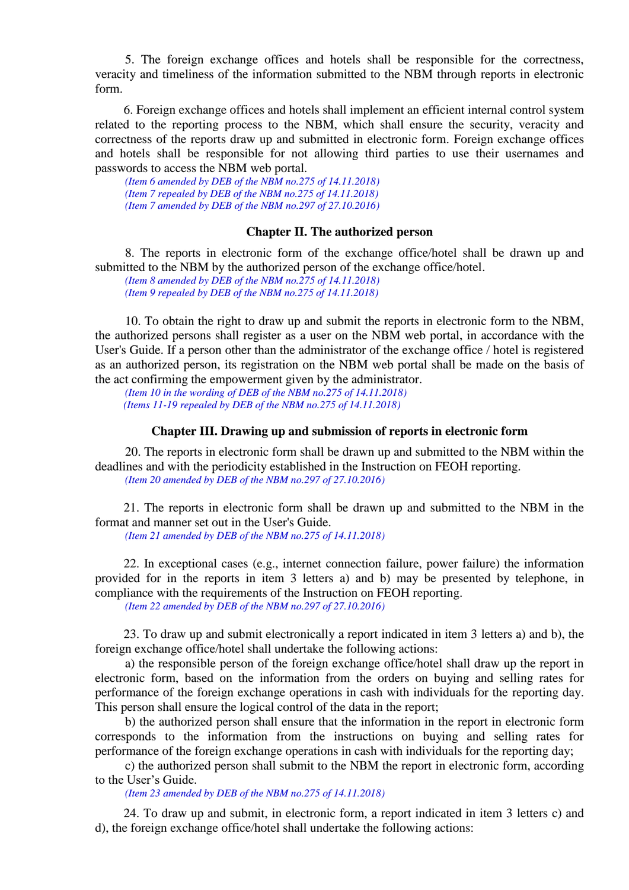5. The foreign exchange offices and hotels shall be responsible for the correctness, veracity and timeliness of the information submitted to the NBM through reports in electronic form.

6. Foreign exchange offices and hotels shall implement an efficient internal control system related to the reporting process to the NBM, which shall ensure the security, veracity and correctness of the reports draw up and submitted in electronic form. Foreign exchange offices and hotels shall be responsible for not allowing third parties to use their usernames and passwords to access the NBM web portal.

*(Item 6 amended by DEB of the NBM no.275 of 14.11.2018) (Item 7 repealed by DEB of the NBM no.275 of 14.11.2018) (Item 7 amended by DEB of the NBM no.297 of 27.10.2016)*

### **Chapter II. The authorized person**

8. The reports in electronic form of the exchange office/hotel shall be drawn up and submitted to the NBM by the authorized person of the exchange office/hotel.

*(Item 8 amended by DEB of the NBM no.275 of 14.11.2018) (Item 9 repealed by DEB of the NBM no.275 of 14.11.2018)*

10. To obtain the right to draw up and submit the reports in electronic form to the NBM, the authorized persons shall register as a user on the NBM web portal, in accordance with the User's Guide. If a person other than the administrator of the exchange office / hotel is registered as an authorized person, its registration on the NBM web portal shall be made on the basis of the act confirming the empowerment given by the administrator.

*(Item 10 in the wording of DEB of the NBM no.275 of 14.11.2018) (Items 11-19 repealed by DEB of the NBM no.275 of 14.11.2018)*

#### **Chapter III. Drawing up and submission of reports in electronic form**

20. The reports in electronic form shall be drawn up and submitted to the NBM within the deadlines and with the periodicity established in the Instruction on FEOH reporting. *(Item 20 amended by DEB of the NBM no.297 of 27.10.2016)*

21. The reports in electronic form shall be drawn up and submitted to the NBM in the format and manner set out in the User's Guide.

*(Item 21 amended by DEB of the NBM no.275 of 14.11.2018)*

22. In exceptional cases (e.g., internet connection failure, power failure) the information provided for in the reports in item 3 letters a) and b) may be presented by telephone, in compliance with the requirements of the Instruction on FEOH reporting.

*(Item 22 amended by DEB of the NBM no.297 of 27.10.2016)*

23. To draw up and submit electronically a report indicated in item 3 letters a) and b), the foreign exchange office/hotel shall undertake the following actions:

a) the responsible person of the foreign exchange office/hotel shall draw up the report in electronic form, based on the information from the orders on buying and selling rates for performance of the foreign exchange operations in cash with individuals for the reporting day. This person shall ensure the logical control of the data in the report;

b) the authorized person shall ensure that the information in the report in electronic form corresponds to the information from the instructions on buying and selling rates for performance of the foreign exchange operations in cash with individuals for the reporting day;

c) the authorized person shall submit to the NBM the report in electronic form, according to the User's Guide.

*(Item 23 amended by DEB of the NBM no.275 of 14.11.2018)*

24. To draw up and submit, in electronic form, a report indicated in item 3 letters c) and d), the foreign exchange office/hotel shall undertake the following actions: